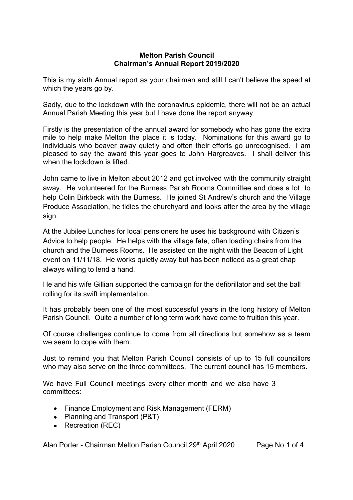## **Melton Parish Council Chairman's Annual Report 2019/2020**

This is my sixth Annual report as your chairman and still I can't believe the speed at which the years go by.

Sadly, due to the lockdown with the coronavirus epidemic, there will not be an actual Annual Parish Meeting this year but I have done the report anyway.

Firstly is the presentation of the annual award for somebody who has gone the extra mile to help make Melton the place it is today. Nominations for this award go to individuals who beaver away quietly and often their efforts go unrecognised. I am pleased to say the award this year goes to John Hargreaves. I shall deliver this when the lockdown is lifted.

John came to live in Melton about 2012 and got involved with the community straight away. He volunteered for the Burness Parish Rooms Committee and does a lot to help Colin Birkbeck with the Burness. He joined St Andrew's church and the Village Produce Association, he tidies the churchyard and looks after the area by the village sign.

At the Jubilee Lunches for local pensioners he uses his background with Citizen's Advice to help people. He helps with the village fete, often loading chairs from the church and the Burness Rooms. He assisted on the night with the Beacon of Light event on 11/11/18. He works quietly away but has been noticed as a great chap always willing to lend a hand.

He and his wife Gillian supported the campaign for the defibrillator and set the ball rolling for its swift implementation.

It has probably been one of the most successful years in the long history of Melton Parish Council. Quite a number of long term work have come to fruition this year.

Of course challenges continue to come from all directions but somehow as a team we seem to cope with them.

Just to remind you that Melton Parish Council consists of up to 15 full councillors who may also serve on the three committees. The current council has 15 members.

We have Full Council meetings every other month and we also have 3 committees:

- Finance Employment and Risk Management (FERM)
- Planning and Transport (P&T)
- Recreation (REC)

Alan Porter - Chairman Melton Parish Council 29<sup>th</sup> April 2020 Page No 1 of 4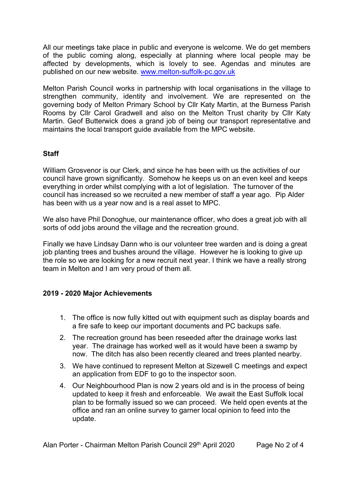All our meetings take place in public and everyone is welcome. We do get members of the public coming along, especially at planning where local people may be affected by developments, which is lovely to see. Agendas and minutes are published on our new website. www.melton-suffolk-pc.gov.uk

Melton Parish Council works in partnership with local organisations in the village to strengthen community, identity and involvement. We are represented on the governing body of Melton Primary School by Cllr Katy Martin, at the Burness Parish Rooms by Cllr Carol Gradwell and also on the Melton Trust charity by Cllr Katy Martin. Geof Butterwick does a grand job of being our transport representative and maintains the local transport guide available from the MPC website.

## **Staff**

William Grosvenor is our Clerk, and since he has been with us the activities of our council have grown significantly. Somehow he keeps us on an even keel and keeps everything in order whilst complying with a lot of legislation. The turnover of the council has increased so we recruited a new member of staff a year ago. Pip Alder has been with us a year now and is a real asset to MPC.

We also have Phil Donoghue, our maintenance officer, who does a great job with all sorts of odd jobs around the village and the recreation ground.

Finally we have Lindsay Dann who is our volunteer tree warden and is doing a great job planting trees and bushes around the village. However he is looking to give up the role so we are looking for a new recruit next year. I think we have a really strong team in Melton and I am very proud of them all.

## **2019 - 2020 Major Achievements**

- 1. The office is now fully kitted out with equipment such as display boards and a fire safe to keep our important documents and PC backups safe.
- 2. The recreation ground has been reseeded after the drainage works last year. The drainage has worked well as it would have been a swamp by now. The ditch has also been recently cleared and trees planted nearby.
- 3. We have continued to represent Melton at Sizewell C meetings and expect an application from EDF to go to the inspector soon.
- 4. Our Neighbourhood Plan is now 2 years old and is in the process of being updated to keep it fresh and enforceable. We await the East Suffolk local plan to be formally issued so we can proceed. We held open events at the office and ran an online survey to garner local opinion to feed into the update.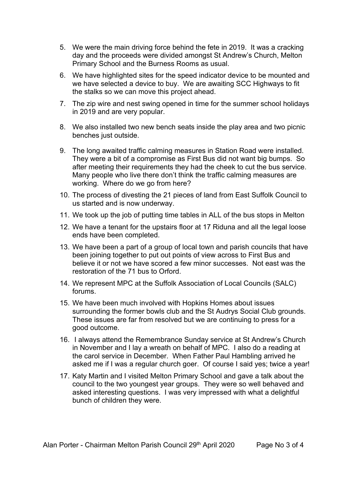- 5. We were the main driving force behind the fete in 2019. It was a cracking day and the proceeds were divided amongst St Andrew's Church, Melton Primary School and the Burness Rooms as usual.
- 6. We have highlighted sites for the speed indicator device to be mounted and we have selected a device to buy. We are awaiting SCC Highways to fit the stalks so we can move this project ahead.
- 7. The zip wire and nest swing opened in time for the summer school holidays in 2019 and are very popular.
- 8. We also installed two new bench seats inside the play area and two picnic benches just outside.
- 9. The long awaited traffic calming measures in Station Road were installed. They were a bit of a compromise as First Bus did not want big bumps. So after meeting their requirements they had the cheek to cut the bus service. Many people who live there don't think the traffic calming measures are working. Where do we go from here?
- 10. The process of divesting the 21 pieces of land from East Suffolk Council to us started and is now underway.
- 11. We took up the job of putting time tables in ALL of the bus stops in Melton
- 12. We have a tenant for the upstairs floor at 17 Riduna and all the legal loose ends have been completed.
- 13. We have been a part of a group of local town and parish councils that have been joining together to put out points of view across to First Bus and believe it or not we have scored a few minor successes. Not east was the restoration of the 71 bus to Orford.
- 14. We represent MPC at the Suffolk Association of Local Councils (SALC) forums.
- 15. We have been much involved with Hopkins Homes about issues surrounding the former bowls club and the St Audrys Social Club grounds. These issues are far from resolved but we are continuing to press for a good outcome.
- 16. I always attend the Remembrance Sunday service at St Andrew's Church in November and I lay a wreath on behalf of MPC. I also do a reading at the carol service in December. When Father Paul Hambling arrived he asked me if I was a regular church goer. Of course I said yes; twice a year!
- 17. Katy Martin and I visited Melton Primary School and gave a talk about the council to the two youngest year groups. They were so well behaved and asked interesting questions. I was very impressed with what a delightful bunch of children they were.